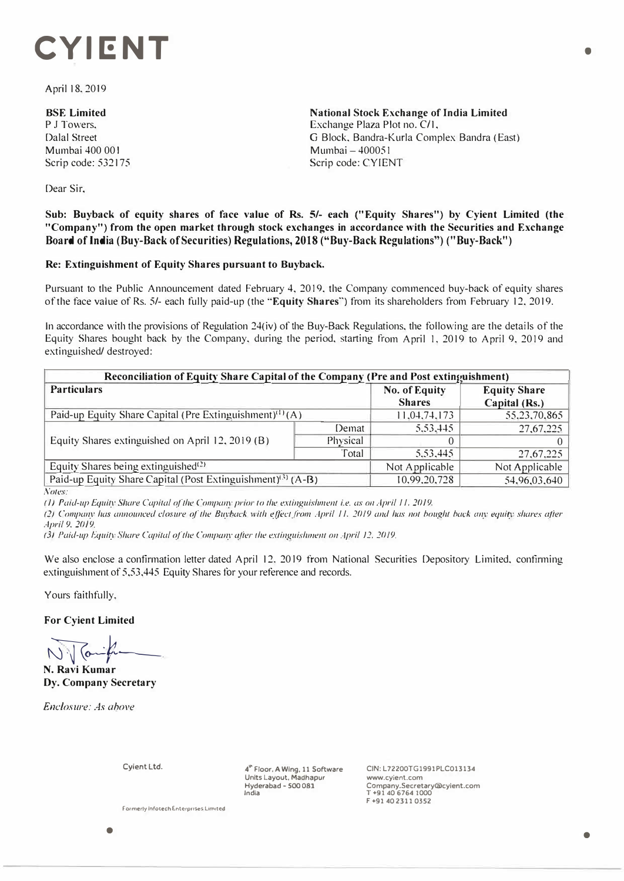## **CYIENT**

April 18. 2019

**BSE Limited**  P J Towers, Dalal Street Mumbai 400 001 Scrip code: 532175

Dear Sir.

**National Stock Exchange of India Limited**  Exchange Plaza Plot no. C/1. G Block, Bandra-Kurla Complex Bandra (East) Mumbai - 400051 Scrip code: CYIENT

**Sub: Buyback of equity shares of face value of Rs. 5/- each ("Equity Shares") by Cyient Limited (the "Company") from the open market through stock exchanges in accordance with the Securities and Exchange Board of India (Buy-Back of Securities) Regulations, 2018 ("Buy-Back Regulations") ("Buy-Back")** 

## **Re: Extinguishment of Equity Shares pursuant to Buyback.**

Pursuant to the Public Announcement dated February 4, 2019, the Company commenced buy-back of equity shares of the face value of Rs. 5/- each fully paid-up (the "Equity Shares") from its shareholders from February 12, 2019.

In accordance with the provisions of Regulation  $24(iv)$  of the Buy-Back Regulations, the following are the details of the Equity Shares bought back by the Company, during the period, starting from April 1, 2019 to April 9, 2019 and extinguished/ destroyed:

| Reconciliation of Equity Share Capital of the Company (Pre and Post extinguishment) |              |                      |                     |  |  |  |
|-------------------------------------------------------------------------------------|--------------|----------------------|---------------------|--|--|--|
| <b>Particulars</b>                                                                  |              | <b>No. of Equity</b> | <b>Equity Share</b> |  |  |  |
|                                                                                     |              | <b>Shares</b>        | Capital (Rs.)       |  |  |  |
| Paid-up Equity Share Capital (Pre Extinguishment) <sup>(1)</sup> (A)                | 11,04,74,173 | 55,23,70,865         |                     |  |  |  |
| Equity Shares extinguished on April 12, 2019 (B)                                    | Demat        | 5,53,445             | 27,67,225           |  |  |  |
|                                                                                     | Physical     | 0                    |                     |  |  |  |
|                                                                                     | Total        | 5,53,445             | 27,67,225           |  |  |  |
| Equity Shares being extinguished <sup>(2)</sup>                                     |              | Not Applicable       | Not Applicable      |  |  |  |
| Paid-up Equity Share Capital (Post Extinguishment) <sup>(3)</sup> (A-B)             | 10,99,20,728 | 54,96,03,640         |                     |  |  |  |

*Notes:* 

*(1) Paid-up Equity Share Capital of the Company prior to the extinguishment i.e. as on April 11, 2019.* 

*(2) Company has announced closure of the Buyback with effect from April 11, 2019 and has not bought back any equity shares after ri.pril 9, 20/9.*

*(3) Paid-up Equity Share Capital of the Company after the extinguishment on April 12, 2019.* 

We also enclose a confirmation letter dated April 12, 2019 from National Securities Depository Limited, confirming extinguishment of 5,53,445 Equity Shares for your reference and records.

Yours faithfully,

**For Cyient Limited** 

**N.** Touriste

**Dy. Company Secretary**

*Enclosure: As above* 

**Cyient Ltd.** 

**4 "' Floor, A Wing, 11 Software Units Layout. Madhapur Hyderabad - SOO 081 India** 

**CIN:L72200TG1991PLC013134 www.cyient.com Company.Secretary®cylent.com T +91 40 67641000 F +9140 23110352** 

f ormedy lnfotech Enterprises Limited

•